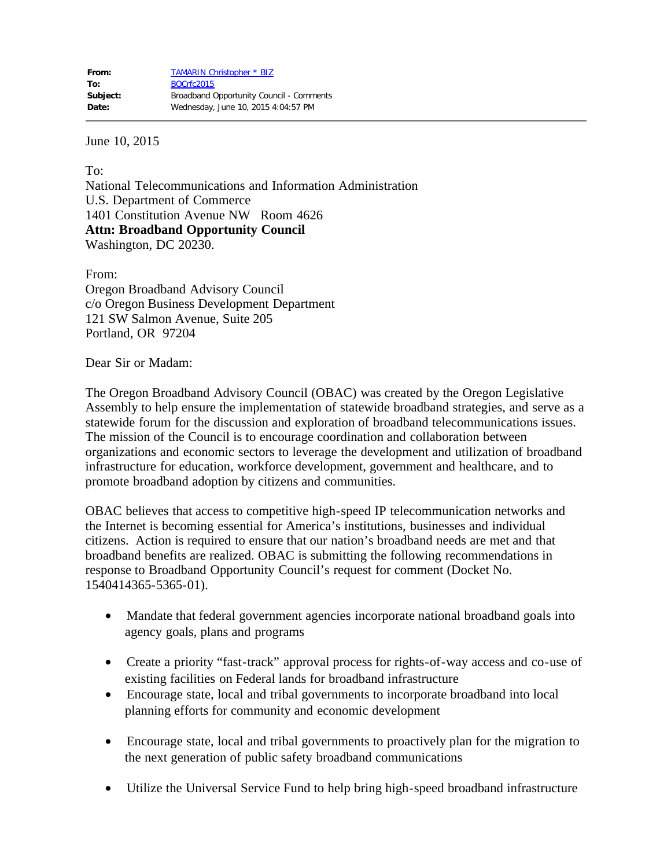June 10, 2015

To: National Telecommunications and Information Administration U.S. Department of Commerce 1401 Constitution Avenue NW Room 4626 **Attn: Broadband Opportunity Council** Washington, DC 20230.

From: Oregon Broadband Advisory Council c/o Oregon Business Development Department 121 SW Salmon Avenue, Suite 205 Portland, OR 97204

Dear Sir or Madam:

The Oregon Broadband Advisory Council (OBAC) was created by the Oregon Legislative Assembly to help ensure the implementation of statewide broadband strategies, and serve as a statewide forum for the discussion and exploration of broadband telecommunications issues. The mission of the Council is to encourage coordination and collaboration between organizations and economic sectors to leverage the development and utilization of broadband infrastructure for education, workforce development, government and healthcare, and to promote broadband adoption by citizens and communities.

OBAC believes that access to competitive high-speed IP telecommunication networks and the Internet is becoming essential for America's institutions, businesses and individual citizens. Action is required to ensure that our nation's broadband needs are met and that broadband benefits are realized. OBAC is submitting the following recommendations in response to Broadband Opportunity Council's request for comment (Docket No. 1540414365-5365-01).

- Mandate that federal government agencies incorporate national broadband goals into agency goals, plans and programs
- · Create a priority "fast-track" approval process for rights-of-way access and co-use of existing facilities on Federal lands for broadband infrastructure
- · Encourage state, local and tribal governments to incorporate broadband into local planning efforts for community and economic development
- · Encourage state, local and tribal governments to proactively plan for the migration to the next generation of public safety broadband communications
- Utilize the Universal Service Fund to help bring high-speed broadband infrastructure